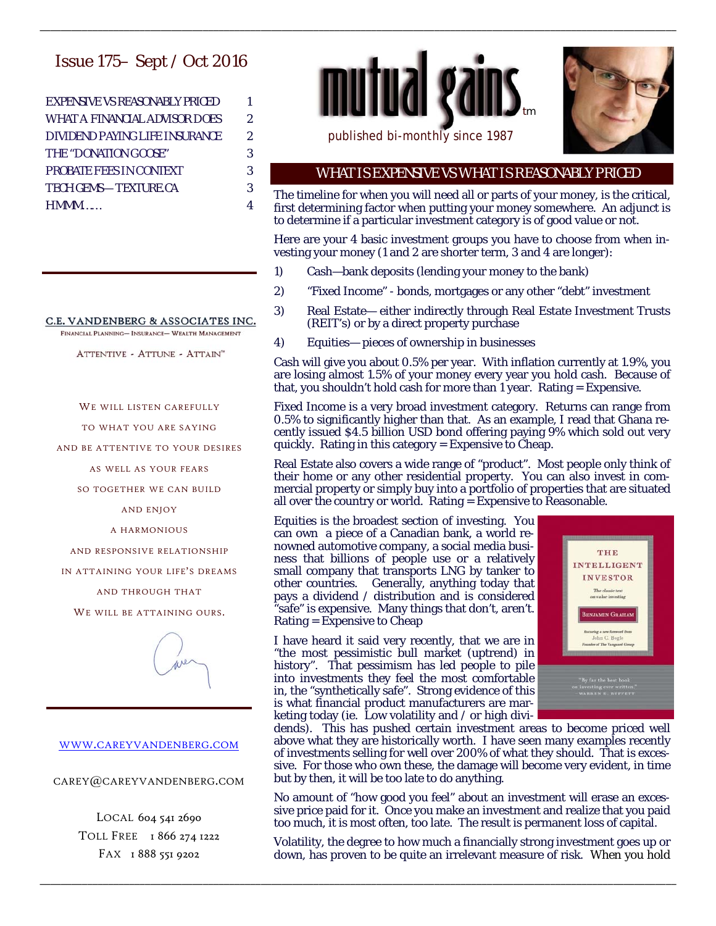# Issue 175– Sept / Oct 2016

EXPENSIVE VS REASONABLY PRICED 1 WHAT A FINANCIAL ADVISOR DOES 2 DIVIDEND PAYING LIFE INSURANCE 2 THE "DONATION GOOSE" 3 PROBATE FEES IN CONTEXT 3 TECH GEMS-TEXTURE.CA 3 HMMM…… 4

**isa kutur** tm



published bi-monthly since 1987

\_\_\_\_\_\_\_\_\_\_\_\_\_\_\_\_\_\_\_\_\_\_\_\_\_\_\_\_\_\_\_\_\_\_\_\_\_\_\_\_\_\_\_\_\_\_\_\_\_\_\_\_\_\_\_\_\_\_\_\_\_\_\_\_\_\_\_\_\_\_\_\_\_\_\_\_\_\_\_\_\_\_\_\_\_\_\_\_\_\_\_\_\_\_\_\_\_\_\_\_\_\_\_\_\_\_\_\_\_\_\_\_\_\_\_\_\_\_\_\_\_

#### WHAT IS EXPENSIVE VS WHAT IS REASONABLY PRICED

The timeline for when you will need all or parts of your money, is the critical, first determining factor when putting your money somewhere. An adjunct is to determine if a particular investment category is of good value or not.

Here are your 4 basic investment groups you have to choose from when investing your money (1 and 2 are shorter term, 3 and 4 are longer):

- 1) Cash—bank deposits (lending your money to the bank)
- 2) "Fixed Income" bonds, mortgages or any other "debt" investment
- 3) Real Estate— either indirectly through Real Estate Investment Trusts (REIT's) or by a direct property purchase
- 4) Equities— pieces of ownership in businesses

Cash will give you about 0.5% per year. With inflation currently at 1.9%, you are losing almost 1.5% of your money every year you hold cash. Because of that, you shouldn't hold cash for more than  $1$  year. Rating  $=$  Expensive.

Fixed Income is a very broad investment category. Returns can range from 0.5% to significantly higher than that. As an example, I read that Ghana recently issued \$4.5 billion USD bond offering paying 9% which sold out very quickly. Rating in this category = Expensive to Cheap.

Real Estate also covers a wide range of "product". Most people only think of their home or any other residential property. You can also invest in commercial property or simply buy into a portfolio of properties that are situated all over the country or world. Rating = Expensive to Reasonable.

Equities is the broadest section of investing. You can own a piece of a Canadian bank, a world renowned automotive company, a social media business that billions of people use or a relatively small company that transports LNG by tanker to other countries. Generally, anything today that pays a dividend / distribution and is considered "safe" is expensive. Many things that don't, aren't. Rating = Expensive to Cheap

I have heard it said very recently, that we are in "the most pessimistic bull market (uptrend) in history". That pessimism has led people to pile into investments they feel the most comfortable in, the "synthetically safe". Strong evidence of this is what financial product manufacturers are marketing today (ie. Low volatility and / or high divi-

\_\_\_\_\_\_\_\_\_\_\_\_\_\_\_\_\_\_\_\_\_\_\_\_\_\_\_\_\_\_\_\_\_\_\_\_\_\_\_\_\_\_\_\_\_\_\_\_\_\_\_\_\_\_\_\_\_\_\_\_\_\_\_\_\_\_\_\_\_\_\_\_\_\_\_\_\_\_\_\_\_\_\_\_\_\_\_\_\_\_\_\_\_\_\_\_\_\_\_\_\_\_\_\_\_\_\_\_\_\_\_\_\_\_\_\_\_\_\_\_\_



dends). This has pushed certain investment areas to become priced well above what they are historically worth. I have seen many examples recently of investments selling for well over 200% of what they should. That is excessive. For those who own these, the damage will become very evident, in time but by then, it will be too late to do anything.

No amount of "how good you feel" about an investment will erase an excessive price paid for it. Once you make an investment and realize that you paid too much, it is most often, too late. The result is permanent loss of capital.

Volatility, the degree to how much a financially strong investment goes up or down, has proven to be quite an irrelevant measure of risk. When you hold

C.E. VANDENBERG & ASSOCIATES INC. FINANCIAL PLANNING- INSURANCE- WEALTH MANAGEMENT

ATTENTIVE - ATTUNE - ATTAIN"

WE WILL LISTEN CAREFULLY

TO WHAT YOU ARE SAYING

AND BE ATTENTIVE TO YOUR DESIRES

AS WELL AS YOUR FEARS

SO TOGETHER WE CAN BUILD

AND ENJOY

A HARMONIOUS

AND RESPONSIVE RELATIONSHIP

IN ATTAINING YOUR LIFE'S DREAMS

AND THROUGH THAT

WE WILL BE ATTAINING OURS.



#### WWW.CAREYVANDENBERG.COM

CAREY@CAREYVANDENBERG.COM

LOCAL 604 541 2690 TOLL FREE 1 866 274 1222 FAX 1 888 551 9202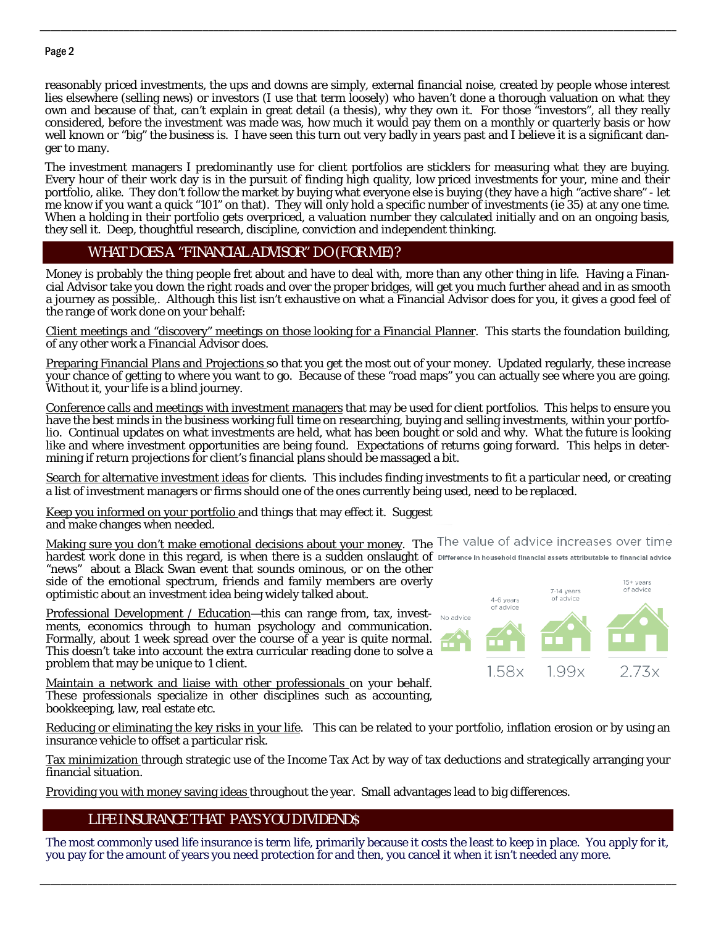#### Page 2

reasonably priced investments, the ups and downs are simply, external financial noise, created by people whose interest lies elsewhere (selling news) or investors (I use that term loosely) who haven't done a thorough valuation on what they own and because of that, can't explain in great detail (a thesis), why they own it. For those "investors", all they really considered, before the investment was made was, how much it would pay them on a monthly or quarterly basis or how well known or "big" the business is. I have seen this turn out very badly in years past and I believe it is a significant danger to many.

\_\_\_\_\_\_\_\_\_\_\_\_\_\_\_\_\_\_\_\_\_\_\_\_\_\_\_\_\_\_\_\_\_\_\_\_\_\_\_\_\_\_\_\_\_\_\_\_\_\_\_\_\_\_\_\_\_\_\_\_\_\_\_\_\_\_\_\_\_\_\_\_\_\_\_\_\_\_\_\_\_\_\_\_\_\_\_\_\_\_\_\_\_\_\_\_\_\_\_\_\_\_\_\_\_\_\_\_\_\_\_\_\_\_\_\_\_\_\_\_\_

The investment managers I predominantly use for client portfolios are sticklers for measuring what they are buying. Every hour of their work day is in the pursuit of finding high quality, low priced investments for your, mine and their portfolio, alike. They don't follow the market by buying what everyone else is buying (they have a high "active share" - let me know if you want a quick "101" on that). They will only hold a specific number of investments (ie 35) at any one time. When a holding in their portfolio gets overpriced, a valuation number they calculated initially and on an ongoing basis, they sell it. Deep, thoughtful research, discipline, conviction and independent thinking.

### WHAT DOES A "FINANCIAL ADVISOR" DO (FOR ME)?

Money is probably the thing people fret about and have to deal with, more than any other thing in life. Having a Financial Advisor take you down the right roads and over the proper bridges, will get you much further ahead and in as smooth a journey as possible,. Although this list isn't exhaustive on what a Financial Advisor does for you, it gives a good feel of the range of work done on your behalf:

Client meetings and "discovery" meetings on those looking for a Financial Planner. This starts the foundation building, of any other work a Financial Advisor does.

Preparing Financial Plans and Projections so that you get the most out of your money. Updated regularly, these increase your chance of getting to where you want to go. Because of these "road maps" you can actually see where you are going. Without it, your life is a blind journey.

Conference calls and meetings with investment managers that may be used for client portfolios. This helps to ensure you have the best minds in the business working full time on researching, buying and selling investments, within your portfolio. Continual updates on what investments are held, what has been bought or sold and why. What the future is looking like and where investment opportunities are being found. Expectations of returns going forward. This helps in determining if return projections for client's financial plans should be massaged a bit.

Search for alternative investment ideas for clients. This includes finding investments to fit a particular need, or creating a list of investment managers or firms should one of the ones currently being used, need to be replaced.

Keep you informed on your portfolio and things that may effect it. Suggest and make changes when needed.

Making sure you don't make emotional decisions about your money. The The value of advice increases over time hardest work done in this regard, is when there is a sudden onslaught of Difference in household financial assets attributable to financial advice

"news" about a Black Swan event that sounds ominous, or on the other side of the emotional spectrum, friends and family members are overly optimistic about an investment idea being widely talked about.

Professional Development / Education-this can range from, tax, investments, economics through to human psychology and communication. Formally, about 1 week spread over the course of a year is quite normal. This doesn't take into account the extra curricular reading done to solve a problem that may be unique to 1 client.

Maintain a network and liaise with other professionals on your behalf. These professionals specialize in other disciplines such as accounting, bookkeeping, law, real estate etc.

Reducing or eliminating the key risks in your life. This can be related to your portfolio, inflation erosion or by using an insurance vehicle to offset a particular risk.

Tax minimization through strategic use of the Income Tax Act by way of tax deductions and strategically arranging your financial situation.

Providing you with money saving ideas throughout the year. Small advantages lead to big differences.

### LIFE INSURANCE THAT PAYS YOU DIVIDEND\$

The most commonly used life insurance is term life, primarily because it costs the least to keep in place. You apply for it, you pay for the amount of years you need protection for and then, you cancel it when it isn't needed any more.

\_\_\_\_\_\_\_\_\_\_\_\_\_\_\_\_\_\_\_\_\_\_\_\_\_\_\_\_\_\_\_\_\_\_\_\_\_\_\_\_\_\_\_\_\_\_\_\_\_\_\_\_\_\_\_\_\_\_\_\_\_\_\_\_\_\_\_\_\_\_\_\_\_\_\_\_\_\_\_\_\_\_\_\_\_\_\_\_\_\_\_\_\_\_\_\_\_\_\_\_\_\_\_\_\_\_\_\_\_\_\_\_\_\_\_\_\_\_\_\_\_

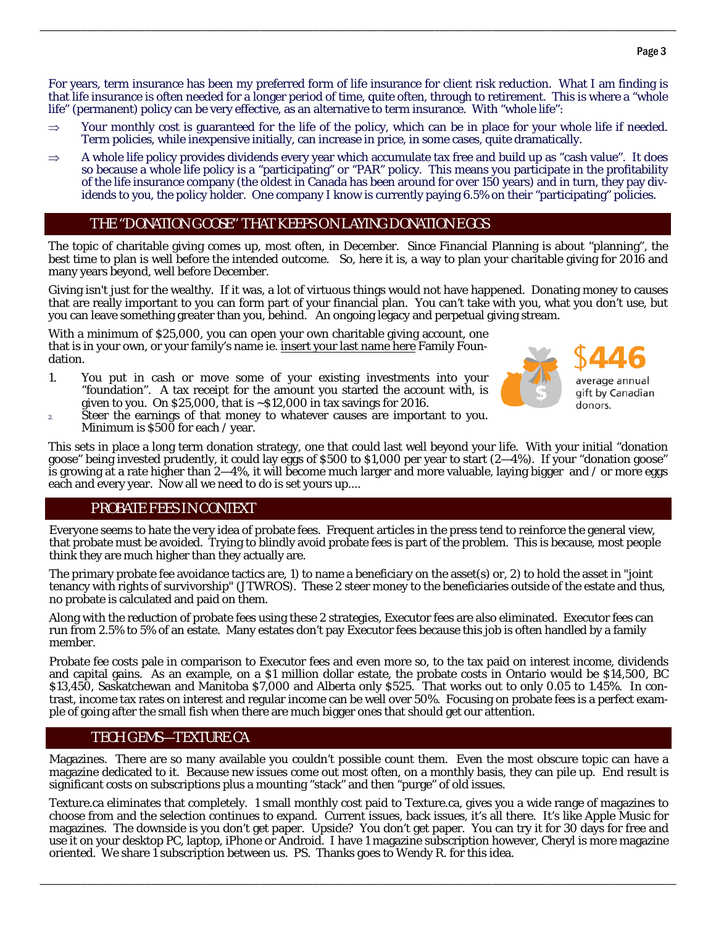For years, term insurance has been my preferred form of life insurance for client risk reduction. What I am finding is that life insurance is often needed for a longer period of time, quite often, through to retirement. This is where a "whole life" (permanent) policy can be very effective, as an alternative to term insurance. With "whole life":

\_\_\_\_\_\_\_\_\_\_\_\_\_\_\_\_\_\_\_\_\_\_\_\_\_\_\_\_\_\_\_\_\_\_\_\_\_\_\_\_\_\_\_\_\_\_\_\_\_\_\_\_\_\_\_\_\_\_\_\_\_\_\_\_\_\_\_\_\_\_\_\_\_\_\_\_\_\_\_\_\_\_\_\_\_\_\_\_\_\_\_\_\_\_\_\_\_\_\_\_\_\_\_\_\_\_\_\_\_\_\_\_\_\_\_\_\_\_\_\_\_

- $\Rightarrow$  Your monthly cost is guaranteed for the life of the policy, which can be in place for your whole life if needed. Term policies, while inexpensive initially, can increase in price, in some cases, quite dramatically.
- $\Rightarrow$  A whole life policy provides dividends every year which accumulate tax free and build up as "cash value". It does so because a whole life policy is a "participating" or "PAR" policy. This means you participate in the profitability of the life insurance company (the oldest in Canada has been around for over 150 years) and in turn, they pay dividends to you, the policy holder. One company I know is currently paying 6.5% on their "participating" policies.

### THE "DONATION GOOSE" THAT KEEPS ON LAYING DONATION EGGS

The topic of charitable giving comes up, most often, in December. Since Financial Planning is about "planning", the best time to plan is well before the intended outcome. So, here it is, a way to plan your charitable giving for 2016 and many years beyond, well before December.

Giving isn't just for the wealthy. If it was, a lot of virtuous things would not have happened. Donating money to causes that are really important to you can form part of your financial plan. You can't take with you, what you don't use, but you can leave something greater than you, behind. An ongoing legacy and perpetual giving stream.

With a minimum of \$25,000, you can open your own charitable giving account, one that is in your own, or your family's name ie. insert your last name here Family Foundation.

1. You put in cash or move some of your existing investments into your "foundation". A tax receipt for the amount you started the account with, is given to you. On \$25,000, that is ~\$12,000 in tax savings for 2016.



average annual gift by Canadian donors.

2. Steer the earnings of that money to whatever causes are important to you. Minimum is \$500 for each / year.

This sets in place a long term donation strategy, one that could last well beyond your life. With your initial "donation goose" being invested prudently, it could lay eggs of \$500 to \$1,000 per year to start (2—4%). If your "donation goose" is growing at a rate higher than 2—4%, it will become much larger and more valuable, laying bigger and / or more eggs each and every year. Now all we need to do is set yours up....

#### PROBATE FEES IN CONTEXT

Everyone seems to hate the very idea of probate fees. Frequent articles in the press tend to reinforce the general view, that probate must be avoided. Trying to blindly avoid probate fees is part of the problem. This is because, most people think they are much higher than they actually are.

The primary probate fee avoidance tactics are, 1) to name a beneficiary on the asset(s) or, 2) to hold the asset in "joint tenancy with rights of survivorship" (JTWROS). These 2 steer money to the beneficiaries outside of the estate and thus, no probate is calculated and paid on them.

 Along with the reduction of probate fees using these 2 strategies, Executor fees are also eliminated. Executor fees can run from 2.5% to 5% of an estate. Many estates don't pay Executor fees because this job is often handled by a family member.

 Probate fee costs pale in comparison to Executor fees and even more so, to the tax paid on interest income, dividends and capital gains. As an example, on a \$1 million dollar estate, the probate costs in Ontario would be \$14,500, BC \$13,450, Saskatchewan and Manitoba \$7,000 and Alberta only \$525. That works out to only 0.05 to 1.45%. In contrast, income tax rates on interest and regular income can be well over 50%. Focusing on probate fees is a perfect example of going after the small fish when there are much bigger ones that should get our attention.

## TECH GEMS—TEXTURE.CA

Magazines. There are so many available you couldn't possible count them. Even the most obscure topic can have a magazine dedicated to it. Because new issues come out most often, on a monthly basis, they can pile up. End result is significant costs on subscriptions plus a mounting "stack" and then "purge" of old issues.

Texture.ca eliminates that completely. 1 small monthly cost paid to Texture.ca, gives you a wide range of magazines to choose from and the selection continues to expand. Current issues, back issues, it's all there. It's like Apple Music for magazines. The downside is you don't get paper. Upside? You don't get paper. You can try it for 30 days for free and use it on your desktop PC, laptop, iPhone or Android. I have 1 magazine subscription however, Cheryl is more magazine oriented. We share 1 subscription between us. PS. Thanks goes to Wendy R. for this idea.

\_\_\_\_\_\_\_\_\_\_\_\_\_\_\_\_\_\_\_\_\_\_\_\_\_\_\_\_\_\_\_\_\_\_\_\_\_\_\_\_\_\_\_\_\_\_\_\_\_\_\_\_\_\_\_\_\_\_\_\_\_\_\_\_\_\_\_\_\_\_\_\_\_\_\_\_\_\_\_\_\_\_\_\_\_\_\_\_\_\_\_\_\_\_\_\_\_\_\_\_\_\_\_\_\_\_\_\_\_\_\_\_\_\_\_\_\_\_\_\_\_